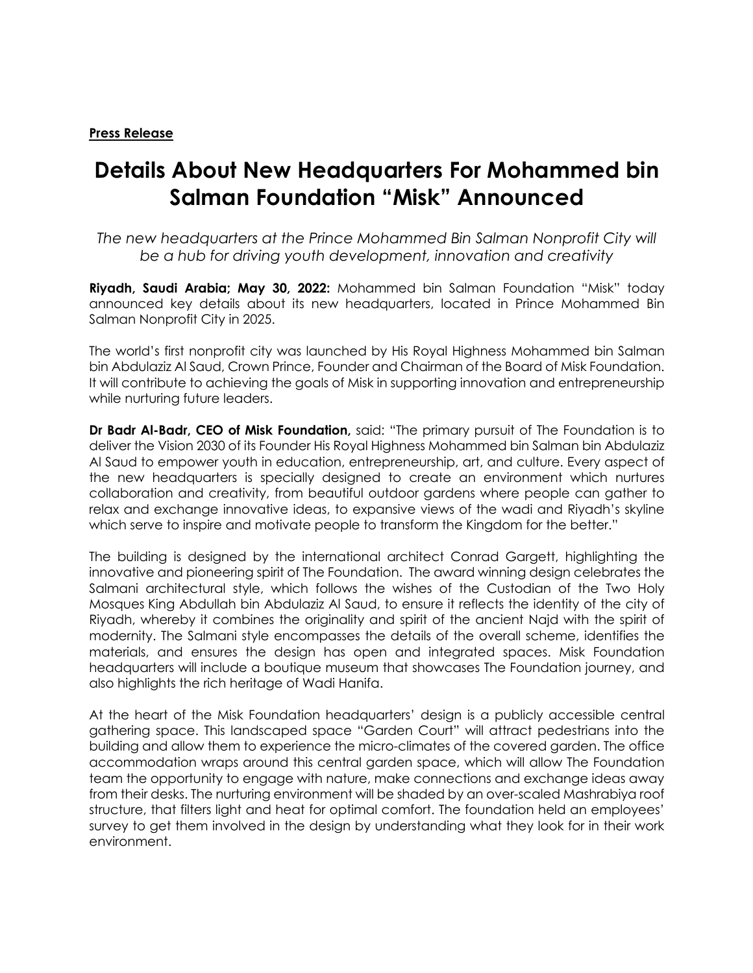## **Press Release**

# **Details About New Headquarters For Mohammed bin Salman Foundation "Misk" Announced**

*The new headquarters at the Prince Mohammed Bin Salman Nonprofit City will be a hub for driving youth development, innovation and creativity*

**Riyadh, Saudi Arabia; May 30, 2022:** Mohammed bin Salman Foundation "Misk" today announced key details about its new headquarters, located in Prince Mohammed Bin Salman Nonprofit City in 2025.

The world's first nonprofit city was launched by His Royal Highness Mohammed bin Salman bin Abdulaziz Al Saud, Crown Prince, Founder and Chairman of the Board of Misk Foundation. It will contribute to achieving the goals of Misk in supporting innovation and entrepreneurship while nurturing future leaders.

**Dr Badr Al-Badr, CEO of Misk Foundation,** said: "The primary pursuit of The Foundation is to deliver the Vision 2030 of its Founder His Royal Highness Mohammed bin Salman bin Abdulaziz Al Saud to empower youth in education, entrepreneurship, art, and culture. Every aspect of the new headquarters is specially designed to create an environment which nurtures collaboration and creativity, from beautiful outdoor gardens where people can gather to relax and exchange innovative ideas, to expansive views of the wadi and Riyadh's skyline which serve to inspire and motivate people to transform the Kingdom for the better."

The building is designed by the international architect Conrad Gargett, highlighting the innovative and pioneering spirit of The Foundation. The award winning design celebrates the Salmani architectural style, which follows the wishes of the Custodian of the Two Holy Mosques King Abdullah bin Abdulaziz Al Saud, to ensure it reflects the identity of the city of Riyadh, whereby it combines the originality and spirit of the ancient Najd with the spirit of modernity. The Salmani style encompasses the details of the overall scheme, identifies the materials, and ensures the design has open and integrated spaces. Misk Foundation headquarters will include a boutique museum that showcases The Foundation journey, and also highlights the rich heritage of Wadi Hanifa.

At the heart of the Misk Foundation headquarters' design is a publicly accessible central gathering space. This landscaped space "Garden Court" will attract pedestrians into the building and allow them to experience the micro-climates of the covered garden. The office accommodation wraps around this central garden space, which will allow The Foundation team the opportunity to engage with nature, make connections and exchange ideas away from their desks. The nurturing environment will be shaded by an over-scaled Mashrabiya roof structure, that filters light and heat for optimal comfort. The foundation held an employees' survey to get them involved in the design by understanding what they look for in their work environment.